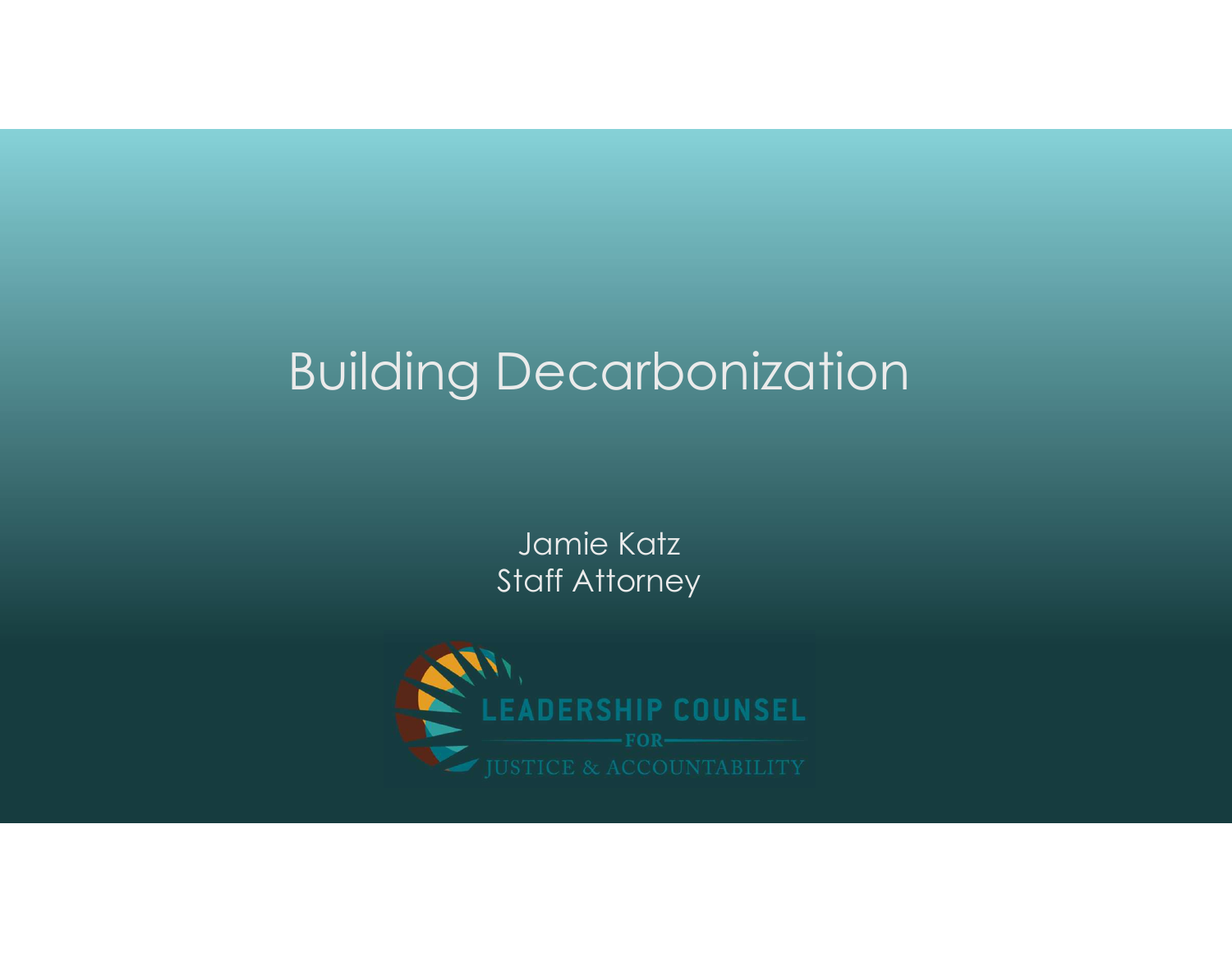# Building Decarbonization

Jamie Katz Staff Attorney

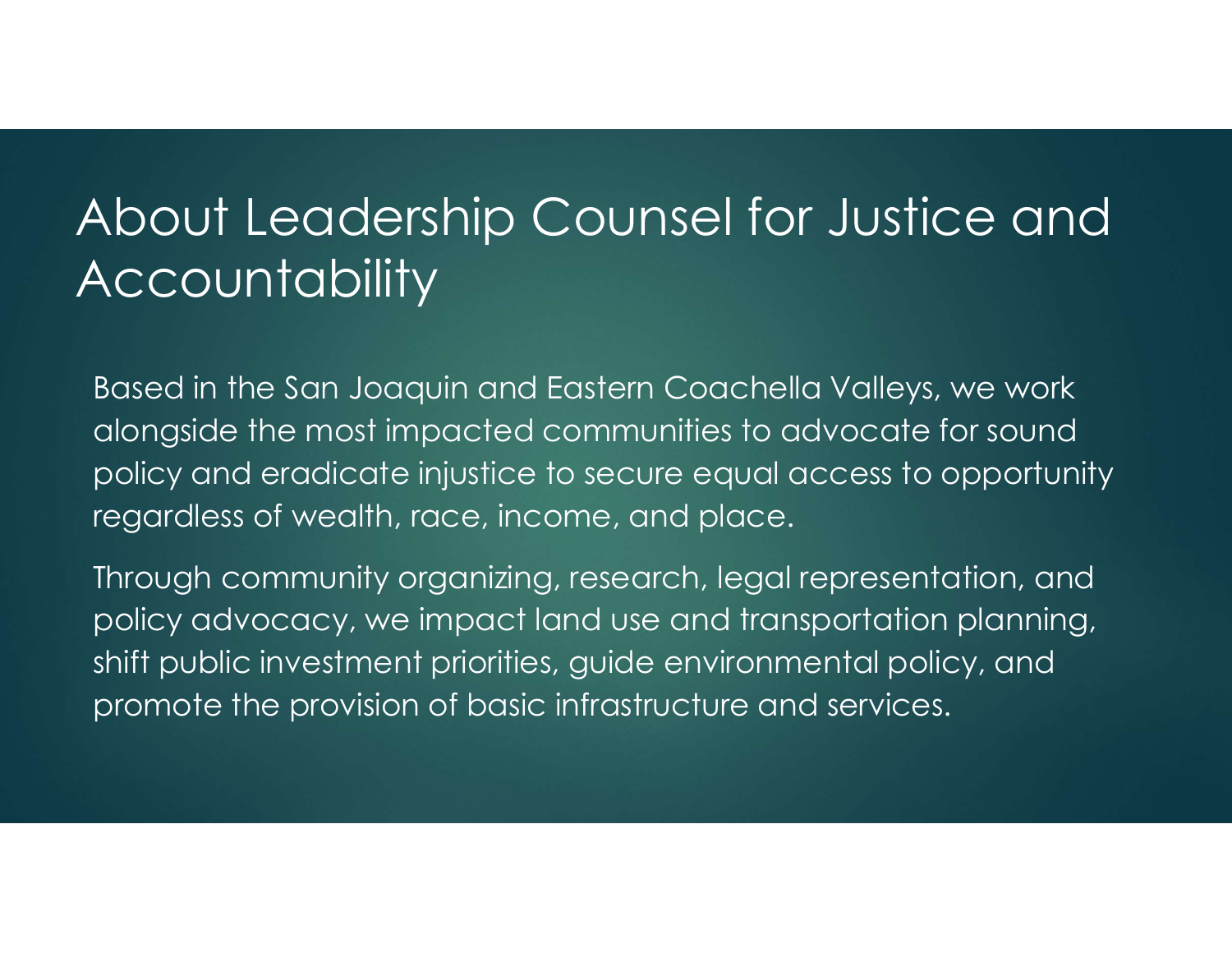## About Leadership Counsel for Justice and **Accountability**

Based in the San Joaquin and Eastern Coachella Valleys, we work alongside the most impacted communities to advocate for sound policy and eradicate injustice to secure equal access to opportunity regardless of wealth, race, income, and place.

Through community organizing, research, legal representation, and policy advocacy, we impact land use and transportation planning, shift public investment priorities, guide environmental policy, and promote the provision of basic infrastructure and services.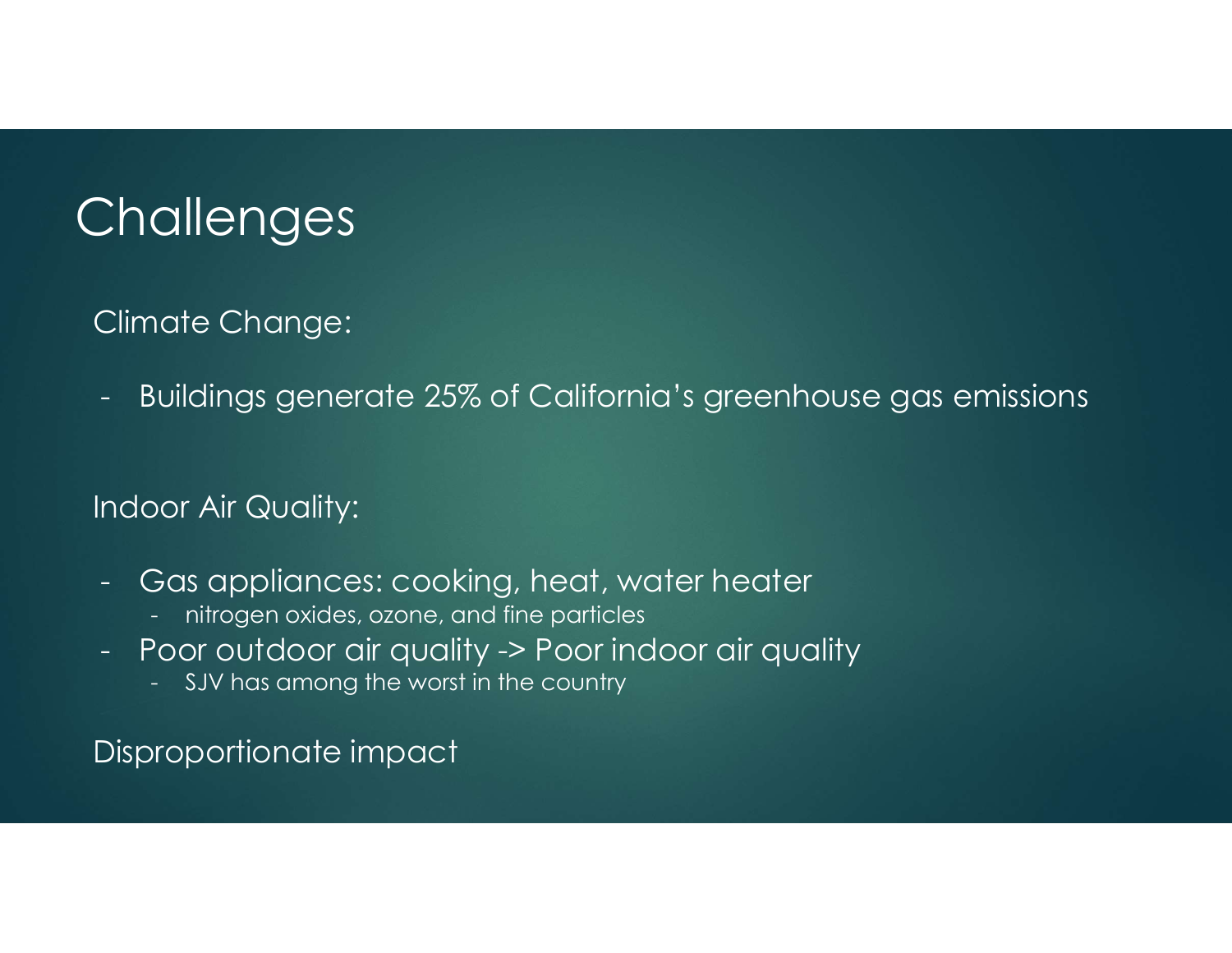# **Challenges**

#### Climate Change:

- Buildings and Changes<br>- Buildings generate 25% of California's greenhouse gas emissions<br>- Alimana Changes and California's greenhouse gas emissions -<br>
2008 - Muldings and the server of California's greenhouse gas<br>
2018 - Buildings generate 25% of California's greenhouse gas<br>
2018 - Gas appliances: cooking, heat, water heater<br>
2018 - Thitogen oxides, ozone, and fine pa **allenges**<br>- Northermannian<br>- Northermannian or an induction<br>- Northermannian over Air Quality:<br>- Sas appliances: cooking, heat, water heater<br>- Introgen oxides, ozone, and fine particles<br>- SJV has among the worst in the co -<br>- Buildings generate 25% of California's greenhouse gas emissions<br>- Buildings generate 25% of California's greenhouse gas emissions<br>- Gas appliances: cooking, heat, water heater<br>- introgen oxides, ozone, and fine particl nate Change:<br>Suildings generate 25% of California's greenhouse<br>Dor Air Quality:<br>Sas appliances: cooking, heat, water heater<br>- nitrogen oxides, ozone, and fine particles<br>Poor outdoor air quality -> Poor indoor air quality<br>-

#### Indoor Air Quality:

- -
- -

Disproportionate impact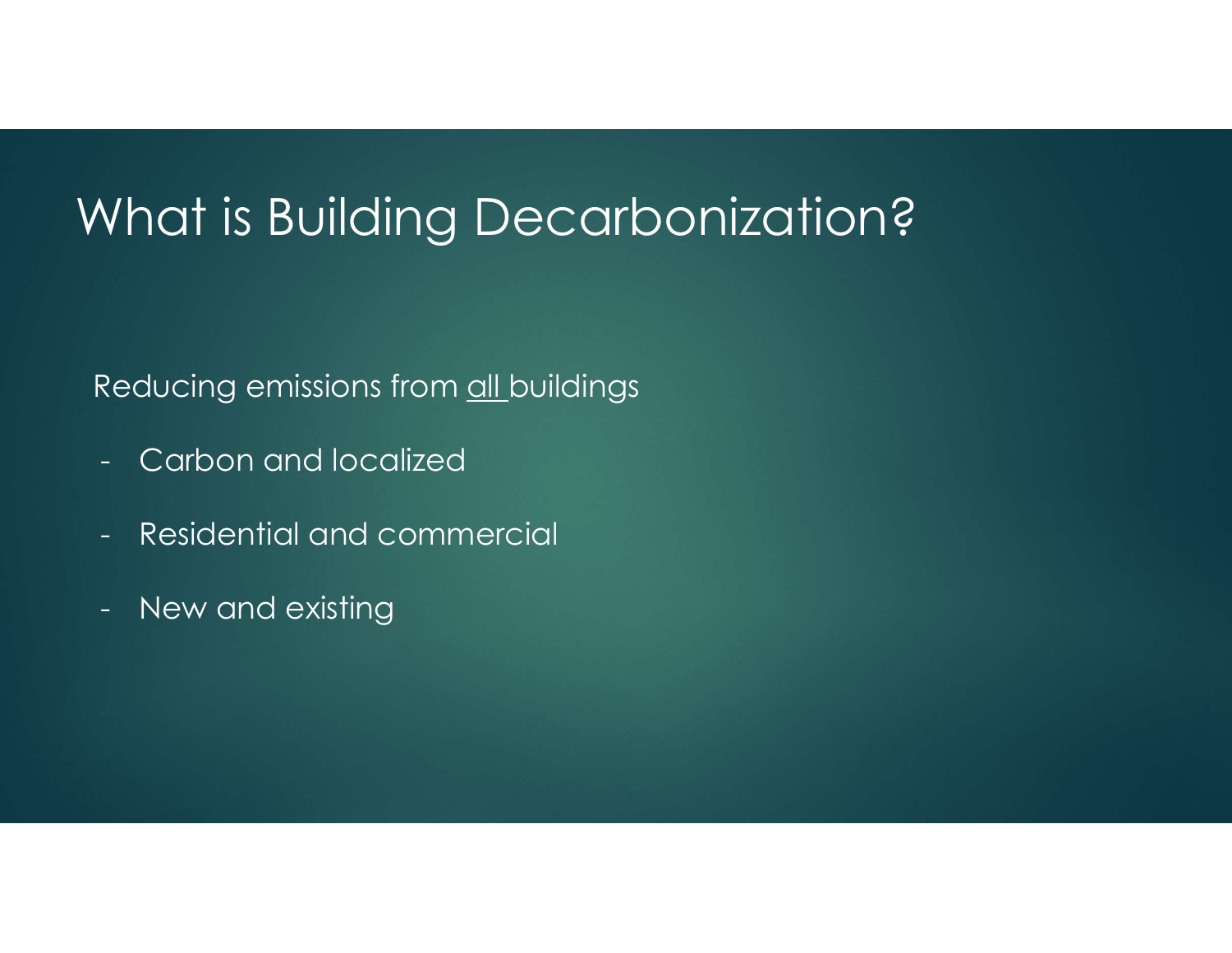# What is Building Decarbonization? Vhat is Building Decarboniza<br>Reducing emissions from <u>all buildings</u><br>- Carbon and localized<br>- Residential and commercial What is Building Decarb<br>Reducing emissions from <u>all buildings</u><br>- Carbon and localized<br>- Residential and commercial<br>- New and existing **Vhat Is Building Decark**<br>Reducing emissions from <u>all buildings</u><br>- Carbon and localized<br>- Residential and commercial<br>- New and existing

#### Reducing emissions from all buildings

- 
- 
-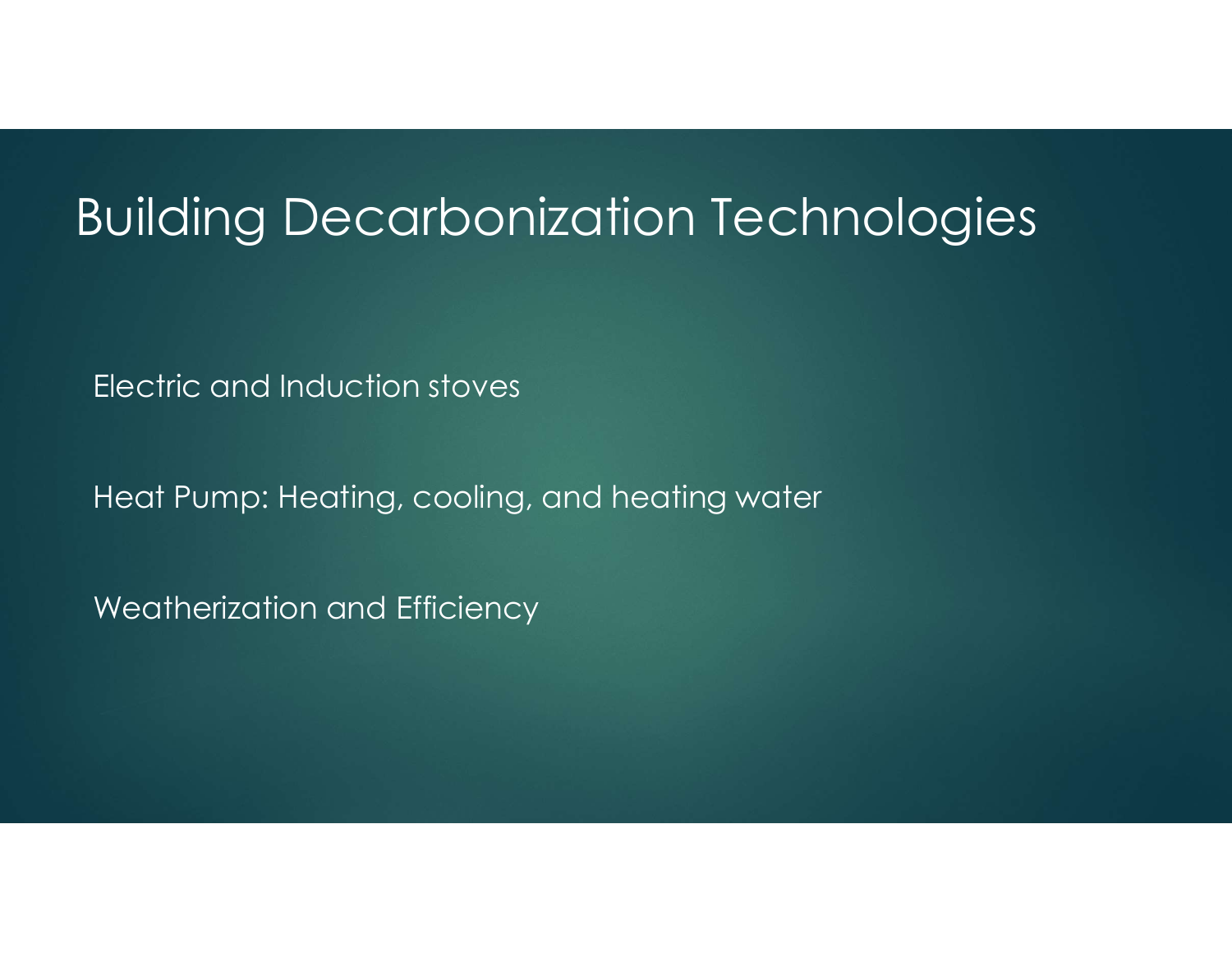### Building Decarbonization Technologies

Electric and Induction stoves

Heat Pump: Heating, cooling, and heating water

Weatherization and Efficiency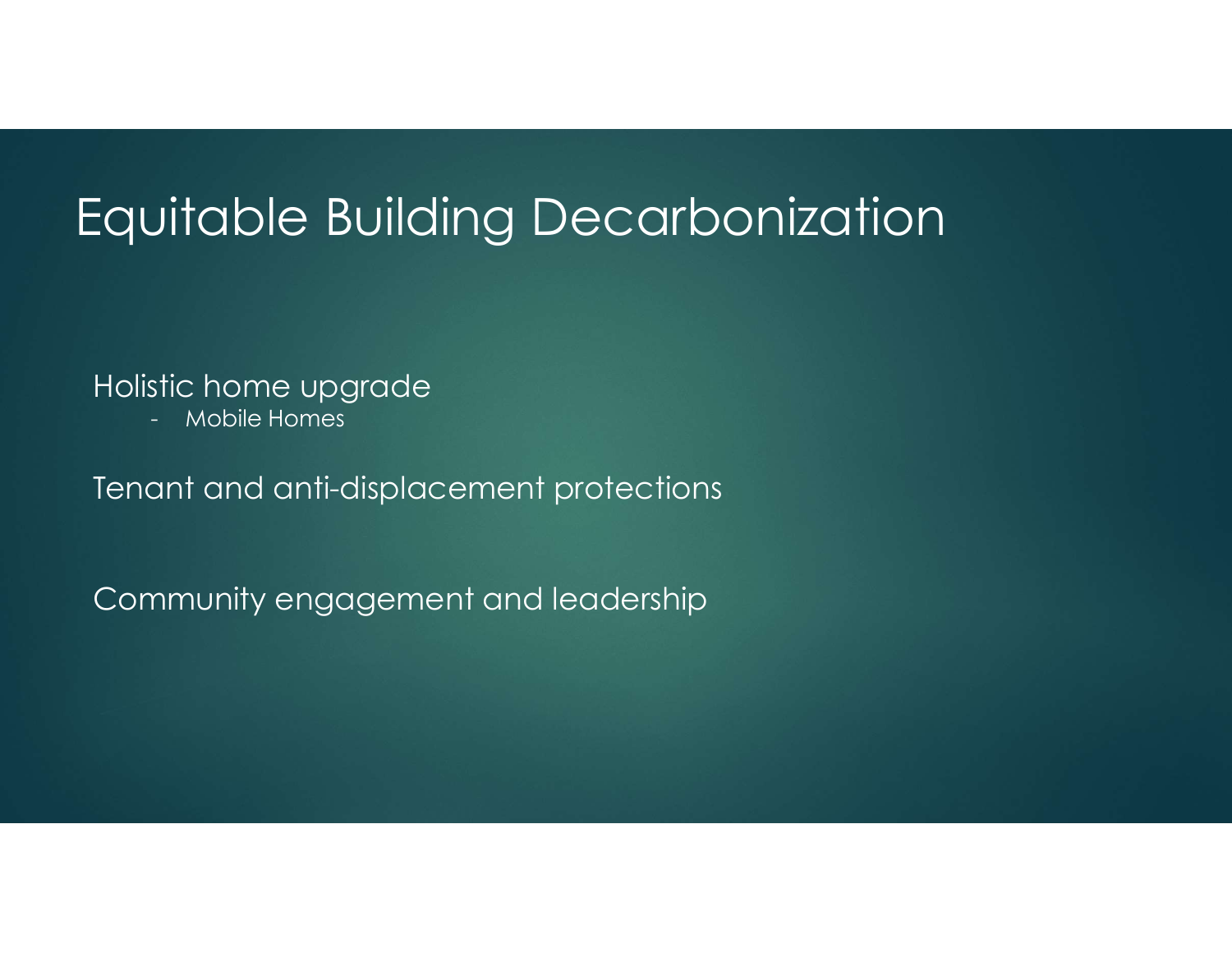# Equitable Building Decarbonization - Mobile Homes

#### Holistic home upgrade

Tenant and anti-displacement protections

Community engagement and leadership